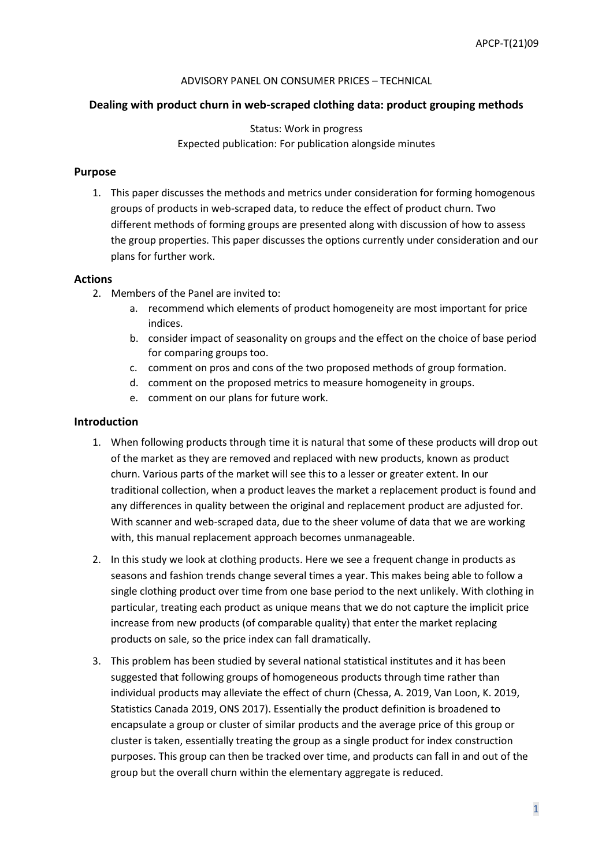#### ADVISORY PANEL ON CONSUMER PRICES – TECHNICAL

## **Dealing with product churn in web-scraped clothing data: product grouping methods**

# Status: Work in progress Expected publication: For publication alongside minutes

## **Purpose**

1. This paper discusses the methods and metrics under consideration for forming homogenous groups of products in web-scraped data, to reduce the effect of product churn. Two different methods of forming groups are presented along with discussion of how to assess the group properties. This paper discusses the options currently under consideration and our plans for further work.

### **Actions**

- 2. Members of the Panel are invited to:
	- a. recommend which elements of product homogeneity are most important for price indices.
	- b. consider impact of seasonality on groups and the effect on the choice of base period for comparing groups too.
	- c. comment on pros and cons of the two proposed methods of group formation.
	- d. comment on the proposed metrics to measure homogeneity in groups.
	- e. comment on our plans for future work.

### **Introduction**

- 1. When following products through time it is natural that some of these products will drop out of the market as they are removed and replaced with new products, known as product churn. Various parts of the market will see this to a lesser or greater extent. In our traditional collection, when a product leaves the market a replacement product is found and any differences in quality between the original and replacement product are adjusted for. With scanner and web-scraped data, due to the sheer volume of data that we are working with, this manual replacement approach becomes unmanageable.
- 2. In this study we look at clothing products. Here we see a frequent change in products as seasons and fashion trends change several times a year. This makes being able to follow a single clothing product over time from one base period to the next unlikely. With clothing in particular, treating each product as unique means that we do not capture the implicit price increase from new products (of comparable quality) that enter the market replacing products on sale, so the price index can fall dramatically.
- 3. This problem has been studied by several national statistical institutes and it has been suggested that following groups of homogeneous products through time rather than individual products may alleviate the effect of churn (Chessa, A. 2019, Van Loon, K. 2019, Statistics Canada 2019, ONS 2017). Essentially the product definition is broadened to encapsulate a group or cluster of similar products and the average price of this group or cluster is taken, essentially treating the group as a single product for index construction purposes. This group can then be tracked over time, and products can fall in and out of the group but the overall churn within the elementary aggregate is reduced.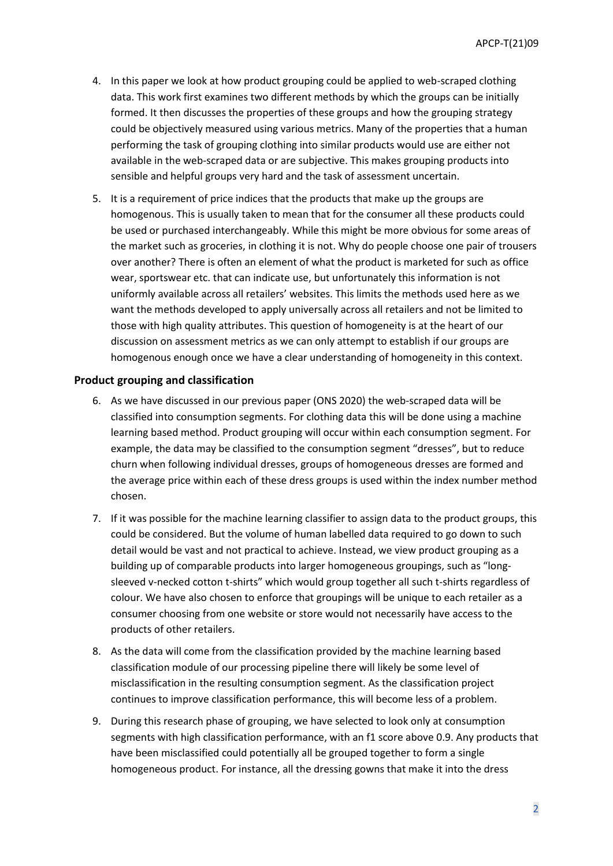- 4. In this paper we look at how product grouping could be applied to web-scraped clothing data. This work first examines two different methods by which the groups can be initially formed. It then discusses the properties of these groups and how the grouping strategy could be objectively measured using various metrics. Many of the properties that a human performing the task of grouping clothing into similar products would use are either not available in the web-scraped data or are subjective. This makes grouping products into sensible and helpful groups very hard and the task of assessment uncertain.
- 5. It is a requirement of price indices that the products that make up the groups are homogenous. This is usually taken to mean that for the consumer all these products could be used or purchased interchangeably. While this might be more obvious for some areas of the market such as groceries, in clothing it is not. Why do people choose one pair of trousers over another? There is often an element of what the product is marketed for such as office wear, sportswear etc. that can indicate use, but unfortunately this information is not uniformly available across all retailers' websites. This limits the methods used here as we want the methods developed to apply universally across all retailers and not be limited to those with high quality attributes. This question of homogeneity is at the heart of our discussion on assessment metrics as we can only attempt to establish if our groups are homogenous enough once we have a clear understanding of homogeneity in this context.

### **Product grouping and classification**

- 6. As we have discussed in our previous paper (ONS 2020) the web-scraped data will be classified into consumption segments. For clothing data this will be done using a machine learning based method. Product grouping will occur within each consumption segment. For example, the data may be classified to the consumption segment "dresses", but to reduce churn when following individual dresses, groups of homogeneous dresses are formed and the average price within each of these dress groups is used within the index number method chosen.
- 7. If it was possible for the machine learning classifier to assign data to the product groups, this could be considered. But the volume of human labelled data required to go down to such detail would be vast and not practical to achieve. Instead, we view product grouping as a building up of comparable products into larger homogeneous groupings, such as "longsleeved v-necked cotton t-shirts" which would group together all such t-shirts regardless of colour. We have also chosen to enforce that groupings will be unique to each retailer as a consumer choosing from one website or store would not necessarily have access to the products of other retailers.
- 8. As the data will come from the classification provided by the machine learning based classification module of our processing pipeline there will likely be some level of misclassification in the resulting consumption segment. As the classification project continues to improve classification performance, this will become less of a problem.
- 9. During this research phase of grouping, we have selected to look only at consumption segments with high classification performance, with an f1 score above 0.9. Any products that have been misclassified could potentially all be grouped together to form a single homogeneous product. For instance, all the dressing gowns that make it into the dress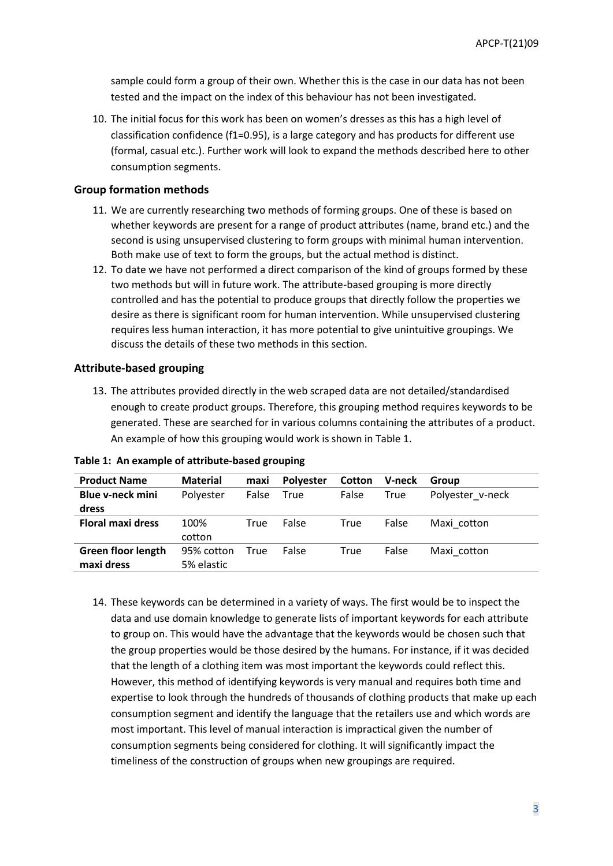sample could form a group of their own. Whether this is the case in our data has not been tested and the impact on the index of this behaviour has not been investigated.

10. The initial focus for this work has been on women's dresses as this has a high level of classification confidence (f1=0.95), is a large category and has products for different use (formal, casual etc.). Further work will look to expand the methods described here to other consumption segments.

#### **Group formation methods**

- 11. We are currently researching two methods of forming groups. One of these is based on whether keywords are present for a range of product attributes (name, brand etc.) and the second is using unsupervised clustering to form groups with minimal human intervention. Both make use of text to form the groups, but the actual method is distinct.
- 12. To date we have not performed a direct comparison of the kind of groups formed by these two methods but will in future work. The attribute-based grouping is more directly controlled and has the potential to produce groups that directly follow the properties we desire as there is significant room for human intervention. While unsupervised clustering requires less human interaction, it has more potential to give unintuitive groupings. We discuss the details of these two methods in this section.

#### **Attribute-based grouping**

13. The attributes provided directly in the web scraped data are not detailed/standardised enough to create product groups. Therefore, this grouping method requires keywords to be generated. These are searched for in various columns containing the attributes of a product. An example of how this grouping would work is shown in Table 1.

| <b>Product Name</b>       | <b>Material</b> | maxi  | <b>Polyester</b> | <b>Cotton</b> | V-neck | Group            |
|---------------------------|-----------------|-------|------------------|---------------|--------|------------------|
| <b>Blue v-neck mini</b>   | Polyester       | False | True             | False         | True   | Polyester v-neck |
| dress                     |                 |       |                  |               |        |                  |
| <b>Floral maxi dress</b>  | 100%            | True  | False            | True          | False  | Maxi cotton      |
|                           | cotton          |       |                  |               |        |                  |
| <b>Green floor length</b> | 95% cotton      | True  | False            | True          | False  | Maxi cotton      |
| maxi dress                | 5% elastic      |       |                  |               |        |                  |

**Table 1: An example of attribute-based grouping**

14. These keywords can be determined in a variety of ways. The first would be to inspect the data and use domain knowledge to generate lists of important keywords for each attribute to group on. This would have the advantage that the keywords would be chosen such that the group properties would be those desired by the humans. For instance, if it was decided that the length of a clothing item was most important the keywords could reflect this. However, this method of identifying keywords is very manual and requires both time and expertise to look through the hundreds of thousands of clothing products that make up each consumption segment and identify the language that the retailers use and which words are most important. This level of manual interaction is impractical given the number of consumption segments being considered for clothing. It will significantly impact the timeliness of the construction of groups when new groupings are required.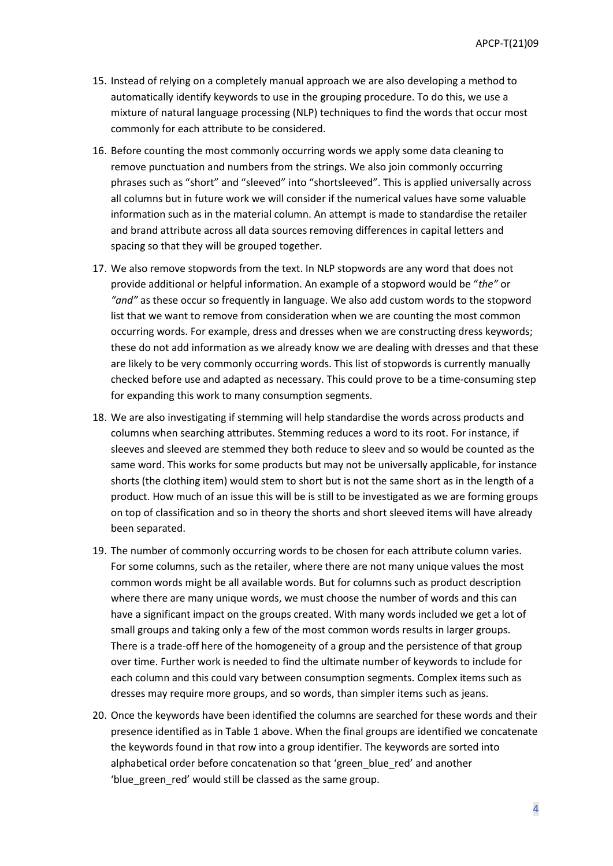- 15. Instead of relying on a completely manual approach we are also developing a method to automatically identify keywords to use in the grouping procedure. To do this, we use a mixture of natural language processing (NLP) techniques to find the words that occur most commonly for each attribute to be considered.
- 16. Before counting the most commonly occurring words we apply some data cleaning to remove punctuation and numbers from the strings. We also join commonly occurring phrases such as "short" and "sleeved" into "shortsleeved". This is applied universally across all columns but in future work we will consider if the numerical values have some valuable information such as in the material column. An attempt is made to standardise the retailer and brand attribute across all data sources removing differences in capital letters and spacing so that they will be grouped together.
- 17. We also remove stopwords from the text. In NLP stopwords are any word that does not provide additional or helpful information. An example of a stopword would be "*the"* or *"and"* as these occur so frequently in language. We also add custom words to the stopword list that we want to remove from consideration when we are counting the most common occurring words. For example, dress and dresses when we are constructing dress keywords; these do not add information as we already know we are dealing with dresses and that these are likely to be very commonly occurring words. This list of stopwords is currently manually checked before use and adapted as necessary. This could prove to be a time-consuming step for expanding this work to many consumption segments.
- 18. We are also investigating if stemming will help standardise the words across products and columns when searching attributes. Stemming reduces a word to its root. For instance, if sleeves and sleeved are stemmed they both reduce to sleev and so would be counted as the same word. This works for some products but may not be universally applicable, for instance shorts (the clothing item) would stem to short but is not the same short as in the length of a product. How much of an issue this will be is still to be investigated as we are forming groups on top of classification and so in theory the shorts and short sleeved items will have already been separated.
- 19. The number of commonly occurring words to be chosen for each attribute column varies. For some columns, such as the retailer, where there are not many unique values the most common words might be all available words. But for columns such as product description where there are many unique words, we must choose the number of words and this can have a significant impact on the groups created. With many words included we get a lot of small groups and taking only a few of the most common words results in larger groups. There is a trade-off here of the homogeneity of a group and the persistence of that group over time. Further work is needed to find the ultimate number of keywords to include for each column and this could vary between consumption segments. Complex items such as dresses may require more groups, and so words, than simpler items such as jeans.
- 20. Once the keywords have been identified the columns are searched for these words and their presence identified as in Table 1 above. When the final groups are identified we concatenate the keywords found in that row into a group identifier. The keywords are sorted into alphabetical order before concatenation so that 'green\_blue\_red' and another 'blue green red' would still be classed as the same group.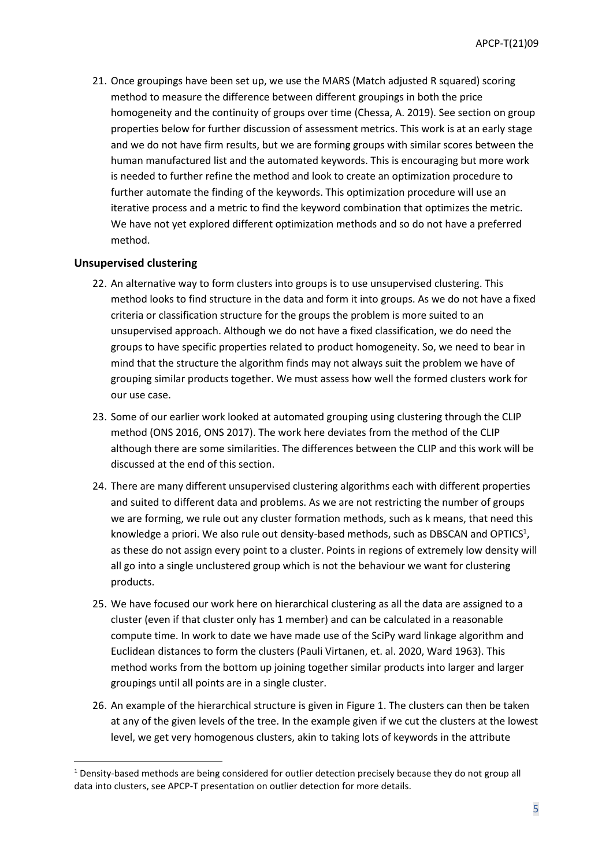21. Once groupings have been set up, we use the MARS (Match adjusted R squared) scoring method to measure the difference between different groupings in both the price homogeneity and the continuity of groups over time (Chessa, A. 2019). See section on group properties below for further discussion of assessment metrics. This work is at an early stage and we do not have firm results, but we are forming groups with similar scores between the human manufactured list and the automated keywords. This is encouraging but more work is needed to further refine the method and look to create an optimization procedure to further automate the finding of the keywords. This optimization procedure will use an iterative process and a metric to find the keyword combination that optimizes the metric. We have not yet explored different optimization methods and so do not have a preferred method.

### **Unsupervised clustering**

- 22. An alternative way to form clusters into groups is to use unsupervised clustering. This method looks to find structure in the data and form it into groups. As we do not have a fixed criteria or classification structure for the groups the problem is more suited to an unsupervised approach. Although we do not have a fixed classification, we do need the groups to have specific properties related to product homogeneity. So, we need to bear in mind that the structure the algorithm finds may not always suit the problem we have of grouping similar products together. We must assess how well the formed clusters work for our use case.
- 23. Some of our earlier work looked at automated grouping using clustering through the CLIP method (ONS 2016, ONS 2017). The work here deviates from the method of the CLIP although there are some similarities. The differences between the CLIP and this work will be discussed at the end of this section.
- 24. There are many different unsupervised clustering algorithms each with different properties and suited to different data and problems. As we are not restricting the number of groups we are forming, we rule out any cluster formation methods, such as k means, that need this knowledge a priori. We also rule out density-based methods, such as DBSCAN and OPTICS<sup>1</sup>, as these do not assign every point to a cluster. Points in regions of extremely low density will all go into a single unclustered group which is not the behaviour we want for clustering products.
- 25. We have focused our work here on hierarchical clustering as all the data are assigned to a cluster (even if that cluster only has 1 member) and can be calculated in a reasonable compute time. In work to date we have made use of the SciPy ward linkage algorithm and Euclidean distances to form the clusters (Pauli Virtanen, et. al. 2020, Ward 1963). This method works from the bottom up joining together similar products into larger and larger groupings until all points are in a single cluster.
- 26. An example of the hierarchical structure is given in Figure 1. The clusters can then be taken at any of the given levels of the tree. In the example given if we cut the clusters at the lowest level, we get very homogenous clusters, akin to taking lots of keywords in the attribute

 $1$  Density-based methods are being considered for outlier detection precisely because they do not group all data into clusters, see APCP-T presentation on outlier detection for more details.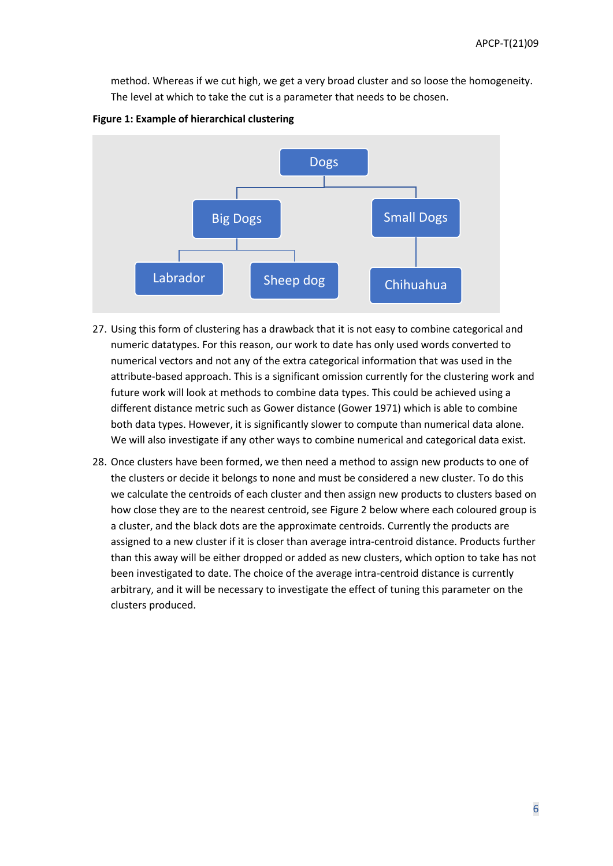method. Whereas if we cut high, we get a very broad cluster and so loose the homogeneity. The level at which to take the cut is a parameter that needs to be chosen.





- 27. Using this form of clustering has a drawback that it is not easy to combine categorical and numeric datatypes. For this reason, our work to date has only used words converted to numerical vectors and not any of the extra categorical information that was used in the attribute-based approach. This is a significant omission currently for the clustering work and future work will look at methods to combine data types. This could be achieved using a different distance metric such as Gower distance (Gower 1971) which is able to combine both data types. However, it is significantly slower to compute than numerical data alone. We will also investigate if any other ways to combine numerical and categorical data exist.
- 28. Once clusters have been formed, we then need a method to assign new products to one of the clusters or decide it belongs to none and must be considered a new cluster. To do this we calculate the centroids of each cluster and then assign new products to clusters based on how close they are to the nearest centroid, see Figure 2 below where each coloured group is a cluster, and the black dots are the approximate centroids. Currently the products are assigned to a new cluster if it is closer than average intra-centroid distance. Products further than this away will be either dropped or added as new clusters, which option to take has not been investigated to date. The choice of the average intra-centroid distance is currently arbitrary, and it will be necessary to investigate the effect of tuning this parameter on the clusters produced.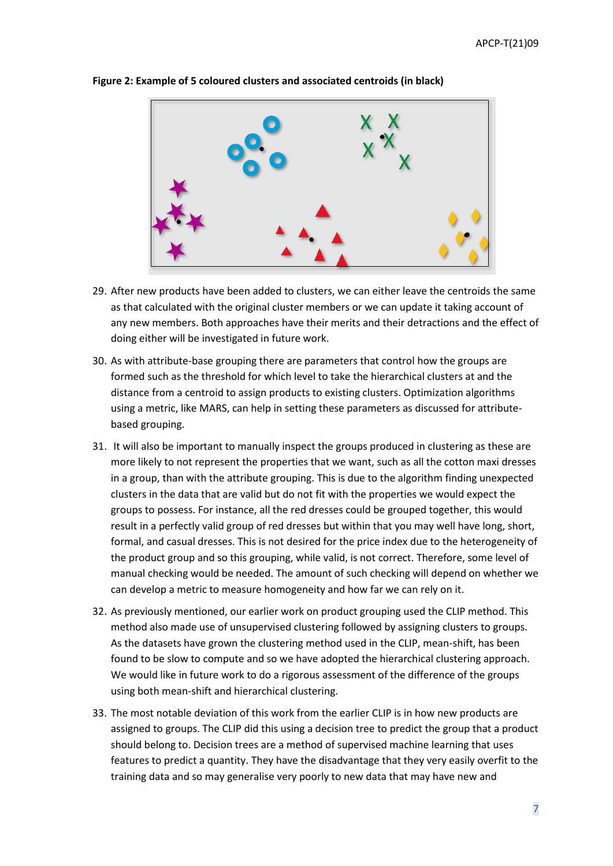

**Figure 2: Example of 5 coloured clusters and associated centroids (in black)**

- 29. After new products have been added to clusters, we can either leave the centroids the same as that calculated with the original cluster members or we can update it taking account of any new members. Both approaches have their merits and their detractions and the effect of doing either will be investigated in future work.
- 30. As with attribute-base grouping there are parameters that control how the groups are formed such as the threshold for which level to take the hierarchical clusters at and the distance from a centroid to assign products to existing clusters. Optimization algorithms using a metric, like MARS, can help in setting these parameters as discussed for attributebased grouping.
- 31. It will also be important to manually inspect the groups produced in clustering as these are more likely to not represent the properties that we want, such as all the cotton maxi dresses in a group, than with the attribute grouping. This is due to the algorithm finding unexpected clusters in the data that are valid but do not fit with the properties we would expect the groups to possess. For instance, all the red dresses could be grouped together, this would result in a perfectly valid group of red dresses but within that you may well have long, short, formal, and casual dresses. This is not desired for the price index due to the heterogeneity of the product group and so this grouping, while valid, is not correct. Therefore, some level of manual checking would be needed. The amount of such checking will depend on whether we can develop a metric to measure homogeneity and how far we can rely on it.
- 32. As previously mentioned, our earlier work on product grouping used the CLIP method. This method also made use of unsupervised clustering followed by assigning clusters to groups. As the datasets have grown the clustering method used in the CLIP, mean-shift, has been found to be slow to compute and so we have adopted the hierarchical clustering approach. We would like in future work to do a rigorous assessment of the difference of the groups using both mean-shift and hierarchical clustering.
- 33. The most notable deviation of this work from the earlier CLIP is in how new products are assigned to groups. The CLIP did this using a decision tree to predict the group that a product should belong to. Decision trees are a method of supervised machine learning that uses features to predict a quantity. They have the disadvantage that they very easily overfit to the training data and so may generalise very poorly to new data that may have new and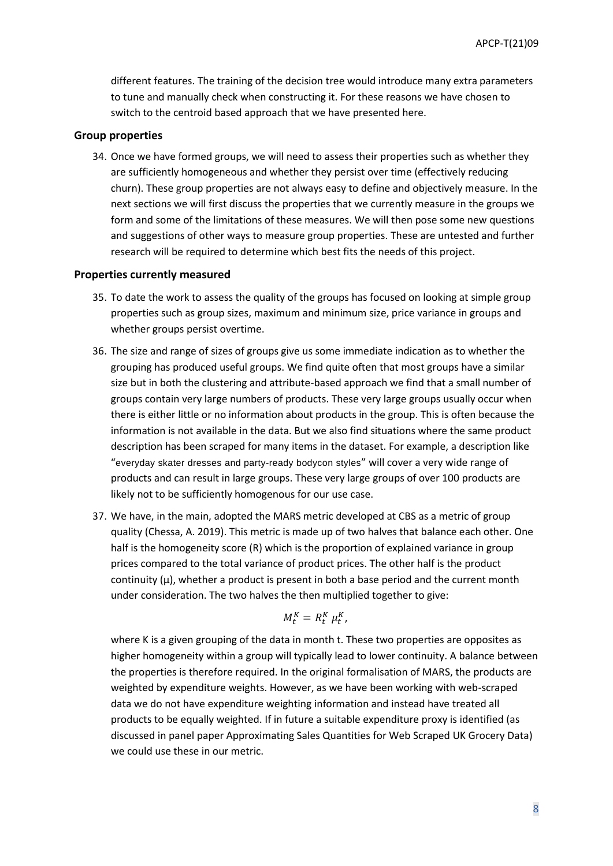different features. The training of the decision tree would introduce many extra parameters to tune and manually check when constructing it. For these reasons we have chosen to switch to the centroid based approach that we have presented here.

#### **Group properties**

34. Once we have formed groups, we will need to assess their properties such as whether they are sufficiently homogeneous and whether they persist over time (effectively reducing churn). These group properties are not always easy to define and objectively measure. In the next sections we will first discuss the properties that we currently measure in the groups we form and some of the limitations of these measures. We will then pose some new questions and suggestions of other ways to measure group properties. These are untested and further research will be required to determine which best fits the needs of this project.

#### **Properties currently measured**

- 35. To date the work to assess the quality of the groups has focused on looking at simple group properties such as group sizes, maximum and minimum size, price variance in groups and whether groups persist overtime.
- 36. The size and range of sizes of groups give us some immediate indication as to whether the grouping has produced useful groups. We find quite often that most groups have a similar size but in both the clustering and attribute-based approach we find that a small number of groups contain very large numbers of products. These very large groups usually occur when there is either little or no information about products in the group. This is often because the information is not available in the data. But we also find situations where the same product description has been scraped for many items in the dataset. For example, a description like "everyday skater dresses and party-ready bodycon styles" will cover a very wide range of products and can result in large groups. These very large groups of over 100 products are likely not to be sufficiently homogenous for our use case.
- 37. We have, in the main, adopted the MARS metric developed at CBS as a metric of group quality (Chessa, A. 2019). This metric is made up of two halves that balance each other. One half is the homogeneity score (R) which is the proportion of explained variance in group prices compared to the total variance of product prices. The other half is the product continuity  $(\mu)$ , whether a product is present in both a base period and the current month under consideration. The two halves the then multiplied together to give:

$$
M_t^K = R_t^K \mu_t^K,
$$

where K is a given grouping of the data in month t. These two properties are opposites as higher homogeneity within a group will typically lead to lower continuity. A balance between the properties is therefore required. In the original formalisation of MARS, the products are weighted by expenditure weights. However, as we have been working with web-scraped data we do not have expenditure weighting information and instead have treated all products to be equally weighted. If in future a suitable expenditure proxy is identified (as discussed in panel paper Approximating Sales Quantities for Web Scraped UK Grocery Data) we could use these in our metric.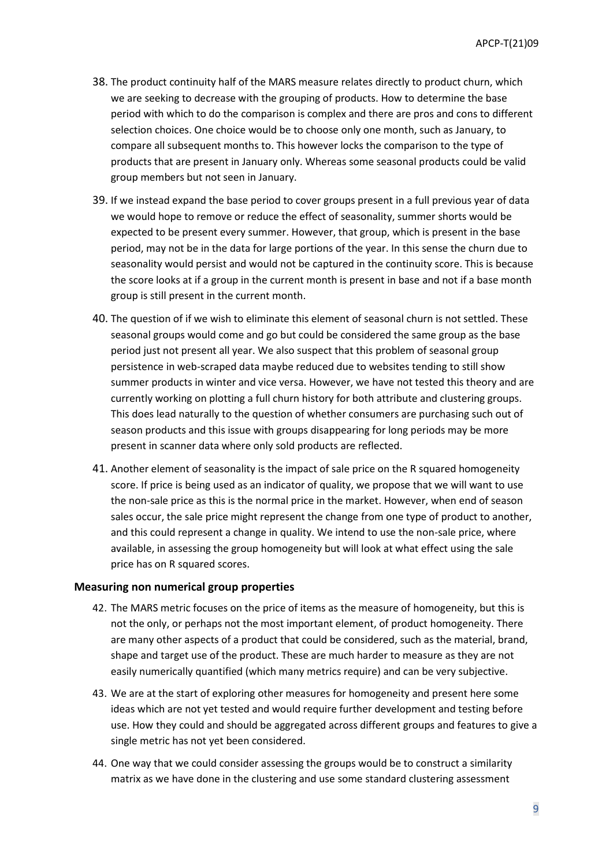- 38. The product continuity half of the MARS measure relates directly to product churn, which we are seeking to decrease with the grouping of products. How to determine the base period with which to do the comparison is complex and there are pros and cons to different selection choices. One choice would be to choose only one month, such as January, to compare all subsequent months to. This however locks the comparison to the type of products that are present in January only. Whereas some seasonal products could be valid group members but not seen in January.
- 39. If we instead expand the base period to cover groups present in a full previous year of data we would hope to remove or reduce the effect of seasonality, summer shorts would be expected to be present every summer. However, that group, which is present in the base period, may not be in the data for large portions of the year. In this sense the churn due to seasonality would persist and would not be captured in the continuity score. This is because the score looks at if a group in the current month is present in base and not if a base month group is still present in the current month.
- 40. The question of if we wish to eliminate this element of seasonal churn is not settled. These seasonal groups would come and go but could be considered the same group as the base period just not present all year. We also suspect that this problem of seasonal group persistence in web-scraped data maybe reduced due to websites tending to still show summer products in winter and vice versa. However, we have not tested this theory and are currently working on plotting a full churn history for both attribute and clustering groups. This does lead naturally to the question of whether consumers are purchasing such out of season products and this issue with groups disappearing for long periods may be more present in scanner data where only sold products are reflected.
- 41. Another element of seasonality is the impact of sale price on the R squared homogeneity score. If price is being used as an indicator of quality, we propose that we will want to use the non-sale price as this is the normal price in the market. However, when end of season sales occur, the sale price might represent the change from one type of product to another, and this could represent a change in quality. We intend to use the non-sale price, where available, in assessing the group homogeneity but will look at what effect using the sale price has on R squared scores.

### **Measuring non numerical group properties**

- 42. The MARS metric focuses on the price of items as the measure of homogeneity, but this is not the only, or perhaps not the most important element, of product homogeneity. There are many other aspects of a product that could be considered, such as the material, brand, shape and target use of the product. These are much harder to measure as they are not easily numerically quantified (which many metrics require) and can be very subjective.
- 43. We are at the start of exploring other measures for homogeneity and present here some ideas which are not yet tested and would require further development and testing before use. How they could and should be aggregated across different groups and features to give a single metric has not yet been considered.
- 44. One way that we could consider assessing the groups would be to construct a similarity matrix as we have done in the clustering and use some standard clustering assessment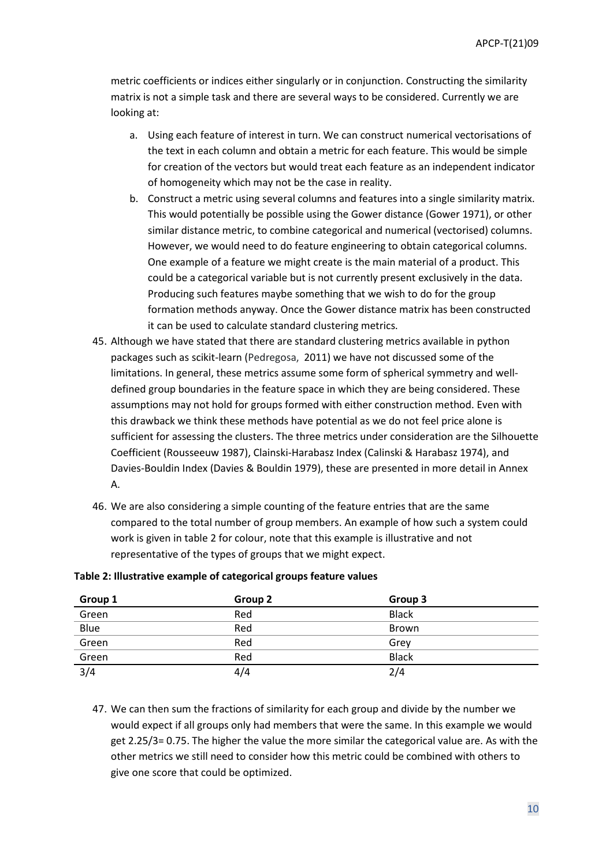metric coefficients or indices either singularly or in conjunction. Constructing the similarity matrix is not a simple task and there are several ways to be considered. Currently we are looking at:

- a. Using each feature of interest in turn. We can construct numerical vectorisations of the text in each column and obtain a metric for each feature. This would be simple for creation of the vectors but would treat each feature as an independent indicator of homogeneity which may not be the case in reality.
- b. Construct a metric using several columns and features into a single similarity matrix. This would potentially be possible using the Gower distance (Gower 1971), or other similar distance metric, to combine categorical and numerical (vectorised) columns. However, we would need to do feature engineering to obtain categorical columns. One example of a feature we might create is the main material of a product. This could be a categorical variable but is not currently present exclusively in the data. Producing such features maybe something that we wish to do for the group formation methods anyway. Once the Gower distance matrix has been constructed it can be used to calculate standard clustering metrics.
- 45. Although we have stated that there are standard clustering metrics available in python packages such as scikit-learn (Pedregosa, 2011) we have not discussed some of the limitations. In general, these metrics assume some form of spherical symmetry and welldefined group boundaries in the feature space in which they are being considered. These assumptions may not hold for groups formed with either construction method. Even with this drawback we think these methods have potential as we do not feel price alone is sufficient for assessing the clusters. The three metrics under consideration are the Silhouette Coefficient (Rousseeuw 1987), Clainski-Harabasz Index (Calinski & Harabasz 1974), and Davies-Bouldin Index (Davies & Bouldin 1979), these are presented in more detail in Annex A.
- 46. We are also considering a simple counting of the feature entries that are the same compared to the total number of group members. An example of how such a system could work is given in table 2 for colour, note that this example is illustrative and not representative of the types of groups that we might expect.

| Group 1          | Group 2 | Group 3      |
|------------------|---------|--------------|
| Green            | Red     | <b>Black</b> |
| Blue             | Red     | <b>Brown</b> |
| Green            | Red     | Grev         |
| Green            | Red     | <b>Black</b> |
| $\overline{3/4}$ | 4/4     | 2/4          |

#### **Table 2: Illustrative example of categorical groups feature values**

47. We can then sum the fractions of similarity for each group and divide by the number we would expect if all groups only had members that were the same. In this example we would get 2.25/3= 0.75. The higher the value the more similar the categorical value are. As with the other metrics we still need to consider how this metric could be combined with others to give one score that could be optimized.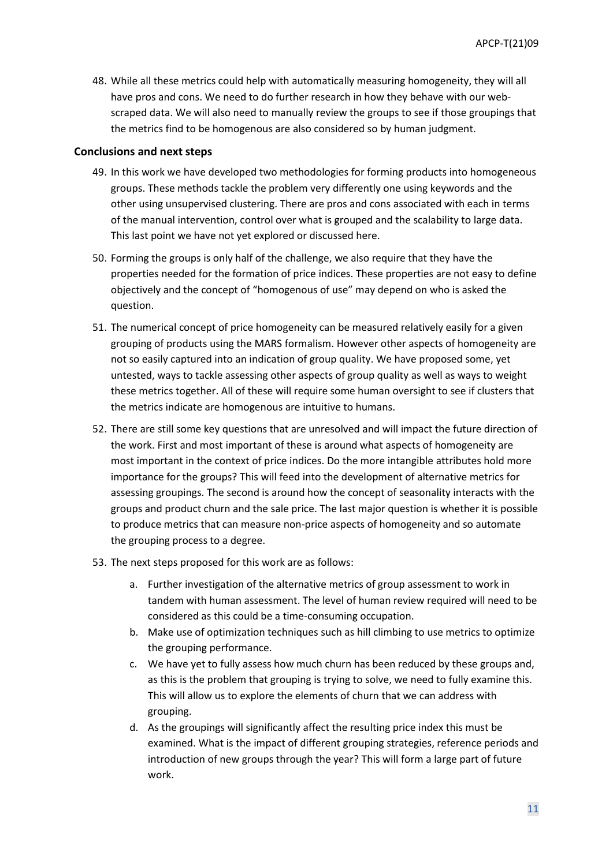48. While all these metrics could help with automatically measuring homogeneity, they will all have pros and cons. We need to do further research in how they behave with our webscraped data. We will also need to manually review the groups to see if those groupings that the metrics find to be homogenous are also considered so by human judgment.

### **Conclusions and next steps**

- 49. In this work we have developed two methodologies for forming products into homogeneous groups. These methods tackle the problem very differently one using keywords and the other using unsupervised clustering. There are pros and cons associated with each in terms of the manual intervention, control over what is grouped and the scalability to large data. This last point we have not yet explored or discussed here.
- 50. Forming the groups is only half of the challenge, we also require that they have the properties needed for the formation of price indices. These properties are not easy to define objectively and the concept of "homogenous of use" may depend on who is asked the question.
- 51. The numerical concept of price homogeneity can be measured relatively easily for a given grouping of products using the MARS formalism. However other aspects of homogeneity are not so easily captured into an indication of group quality. We have proposed some, yet untested, ways to tackle assessing other aspects of group quality as well as ways to weight these metrics together. All of these will require some human oversight to see if clusters that the metrics indicate are homogenous are intuitive to humans.
- 52. There are still some key questions that are unresolved and will impact the future direction of the work. First and most important of these is around what aspects of homogeneity are most important in the context of price indices. Do the more intangible attributes hold more importance for the groups? This will feed into the development of alternative metrics for assessing groupings. The second is around how the concept of seasonality interacts with the groups and product churn and the sale price. The last major question is whether it is possible to produce metrics that can measure non-price aspects of homogeneity and so automate the grouping process to a degree.
- 53. The next steps proposed for this work are as follows:
	- a. Further investigation of the alternative metrics of group assessment to work in tandem with human assessment. The level of human review required will need to be considered as this could be a time-consuming occupation.
	- b. Make use of optimization techniques such as hill climbing to use metrics to optimize the grouping performance.
	- c. We have yet to fully assess how much churn has been reduced by these groups and, as this is the problem that grouping is trying to solve, we need to fully examine this. This will allow us to explore the elements of churn that we can address with grouping.
	- d. As the groupings will significantly affect the resulting price index this must be examined. What is the impact of different grouping strategies, reference periods and introduction of new groups through the year? This will form a large part of future work.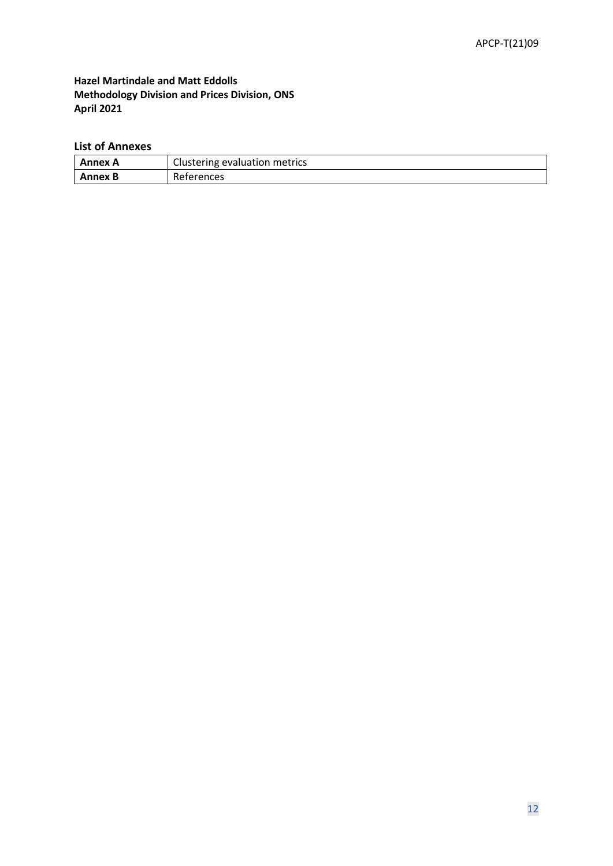**Hazel Martindale and Matt Eddolls Methodology Division and Prices Division, ONS April 2021**

# **List of Annexes**

| Annex A | Clustering evaluation metrics |  |  |
|---------|-------------------------------|--|--|
| Annex B | References                    |  |  |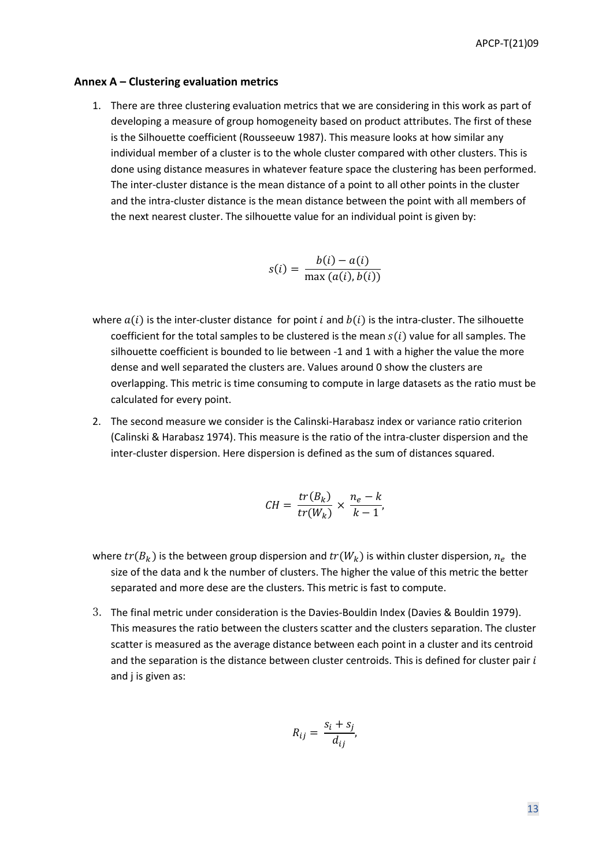#### **Annex A – Clustering evaluation metrics**

1. There are three clustering evaluation metrics that we are considering in this work as part of developing a measure of group homogeneity based on product attributes. The first of these is the Silhouette coefficient (Rousseeuw 1987). This measure looks at how similar any individual member of a cluster is to the whole cluster compared with other clusters. This is done using distance measures in whatever feature space the clustering has been performed. The inter-cluster distance is the mean distance of a point to all other points in the cluster and the intra-cluster distance is the mean distance between the point with all members of the next nearest cluster. The silhouette value for an individual point is given by:

$$
s(i) = \frac{b(i) - a(i)}{\max(a(i), b(i))}
$$

- where  $a(i)$  is the inter-cluster distance for point *i* and  $b(i)$  is the intra-cluster. The silhouette coefficient for the total samples to be clustered is the mean  $s(i)$  value for all samples. The silhouette coefficient is bounded to lie between -1 and 1 with a higher the value the more dense and well separated the clusters are. Values around 0 show the clusters are overlapping. This metric is time consuming to compute in large datasets as the ratio must be calculated for every point.
- 2. The second measure we consider is the Calinski-Harabasz index or variance ratio criterion (Calinski & Harabasz 1974). This measure is the ratio of the intra-cluster dispersion and the inter-cluster dispersion. Here dispersion is defined as the sum of distances squared.

$$
CH = \frac{tr(B_k)}{tr(W_k)} \times \frac{n_e - k}{k - 1},
$$

- where  $tr(B_k)$  is the between group dispersion and  $tr(W_k)$  is within cluster dispersion,  $n_e$  the size of the data and k the number of clusters. The higher the value of this metric the better separated and more dese are the clusters. This metric is fast to compute.
- 3. The final metric under consideration is the Davies-Bouldin Index (Davies & Bouldin 1979). This measures the ratio between the clusters scatter and the clusters separation. The cluster scatter is measured as the average distance between each point in a cluster and its centroid and the separation is the distance between cluster centroids. This is defined for cluster pair  $i$ and j is given as:

$$
R_{ij} = \frac{s_i + s_j}{d_{ij}},
$$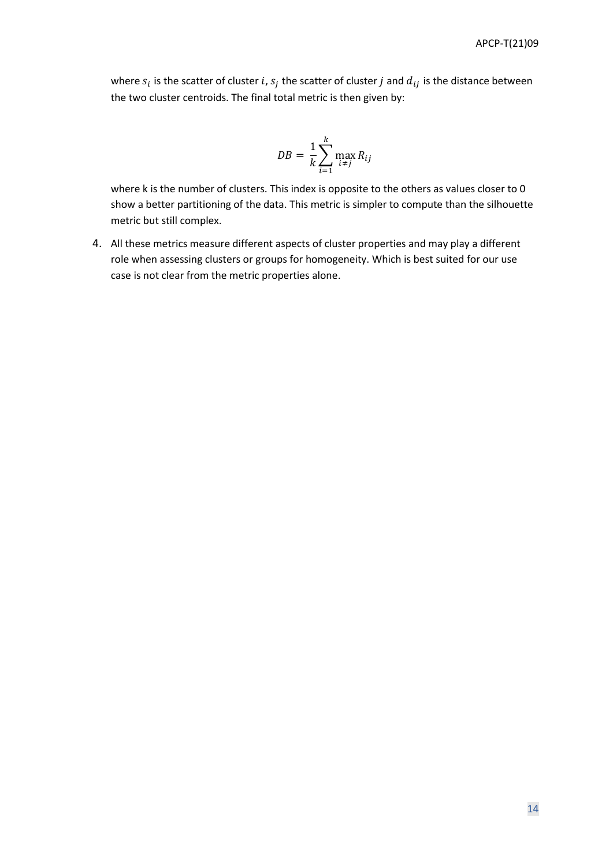where  $s_i$  is the scatter of cluster i,  $s_j$  the scatter of cluster j and  $d_{ij}$  is the distance between the two cluster centroids. The final total metric is then given by:

$$
DB = \frac{1}{k}\sum_{i=1}^k \max_{i \neq j} R_{ij}
$$

where k is the number of clusters. This index is opposite to the others as values closer to 0 show a better partitioning of the data. This metric is simpler to compute than the silhouette metric but still complex.

4. All these metrics measure different aspects of cluster properties and may play a different role when assessing clusters or groups for homogeneity. Which is best suited for our use case is not clear from the metric properties alone.